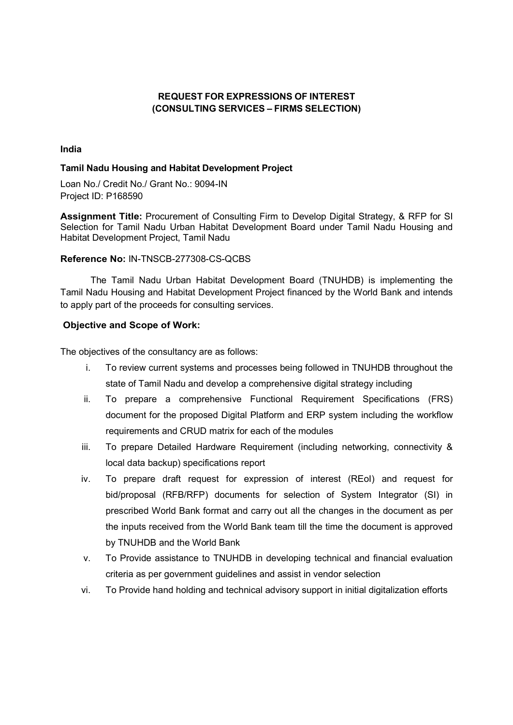## REQUEST FOR EXPRESSIONS OF INTEREST (CONSULTING SERVICES – FIRMS SELECTION)

#### India

#### Tamil Nadu Housing and Habitat Development Project

Loan No./ Credit No./ Grant No.: 9094-IN Project ID: P168590

Assignment Title: Procurement of Consulting Firm to Develop Digital Strategy, & RFP for SI Selection for Tamil Nadu Urban Habitat Development Board under Tamil Nadu Housing and Habitat Development Project, Tamil Nadu

#### Reference No: IN-TNSCB-277308-CS-QCBS

The Tamil Nadu Urban Habitat Development Board (TNUHDB) is implementing the Tamil Nadu Housing and Habitat Development Project financed by the World Bank and intends to apply part of the proceeds for consulting services.

#### Objective and Scope of Work:

The objectives of the consultancy are as follows:

- i. To review current systems and processes being followed in TNUHDB throughout the state of Tamil Nadu and develop a comprehensive digital strategy including
- ii. To prepare a comprehensive Functional Requirement Specifications (FRS) document for the proposed Digital Platform and ERP system including the workflow requirements and CRUD matrix for each of the modules
- iii. To prepare Detailed Hardware Requirement (including networking, connectivity & local data backup) specifications report
- iv. To prepare draft request for expression of interest (REoI) and request for bid/proposal (RFB/RFP) documents for selection of System Integrator (SI) in prescribed World Bank format and carry out all the changes in the document as per the inputs received from the World Bank team till the time the document is approved by TNUHDB and the World Bank
- v. To Provide assistance to TNUHDB in developing technical and financial evaluation criteria as per government guidelines and assist in vendor selection
- vi. To Provide hand holding and technical advisory support in initial digitalization efforts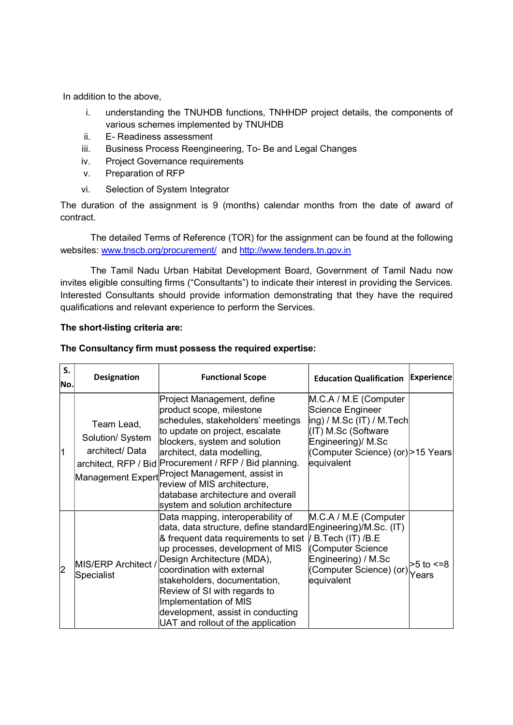In addition to the above,

- i. understanding the TNUHDB functions, TNHHDP project details, the components of various schemes implemented by TNUHDB
- ii. E- Readiness assessment
- iii. Business Process Reengineering, To- Be and Legal Changes
- iv. Project Governance requirements
- v. Preparation of RFP
- vi. Selection of System Integrator

The duration of the assignment is 9 (months) calendar months from the date of award of contract.

 The detailed Terms of Reference (TOR) for the assignment can be found at the following websites: www.tnscb.org/procurement/ and http://www.tenders.tn.gov.in

The Tamil Nadu Urban Habitat Development Board, Government of Tamil Nadu now invites eligible consulting firms ("Consultants") to indicate their interest in providing the Services. Interested Consultants should provide information demonstrating that they have the required qualifications and relevant experience to perform the Services.

## The short-listing criteria are:

## The Consultancy firm must possess the required expertise:

| S.<br>No.      | <b>Designation</b>                               | <b>Functional Scope</b>                                                                                                                                                                                                                                                                                                                                                                                                      | <b>Education Qualification</b>                                                                                                                                            | Experience                |
|----------------|--------------------------------------------------|------------------------------------------------------------------------------------------------------------------------------------------------------------------------------------------------------------------------------------------------------------------------------------------------------------------------------------------------------------------------------------------------------------------------------|---------------------------------------------------------------------------------------------------------------------------------------------------------------------------|---------------------------|
| 1              | Team Lead,<br>Solution/ System<br>architect/Data | Project Management, define<br>product scope, milestone<br>schedules, stakeholders' meetings<br>to update on project, escalate<br>blockers, system and solution<br>architect, data modelling,<br>architect, RFP / Bid Procurement / RFP / Bid planning.<br>Management Expert <sup>Project</sup> Management, assist in<br>review of MIS architecture,<br>database architecture and overall<br>system and solution architecture | M.C.A / M.E (Computer<br>Science Engineer<br> ing) / M.Sc (IT) / M.Tech <br>(IT) M.Sc (Software<br>Engineering)/ M.Sc<br>(Computer Science) (or) > 15 Years<br>equivalent |                           |
| $\overline{2}$ | MIS/ERP Architect /<br><b>Specialist</b>         | Data mapping, interoperability of<br>data, data structure, define standard Engineering)/M.Sc. (IT)<br>& frequent data requirements to set<br>up processes, development of MIS<br>Design Architecture (MDA),<br>coordination with external<br>stakeholders, documentation,<br>Review of SI with regards to<br>Implementation of MIS<br>development, assist in conducting<br>UAT and rollout of the application                | M.C.A / M.E (Computer<br>/ B.Tech (IT) /B.E<br><b>Computer Science</b><br>Engineering) / M.Sc<br>(Computer Science) (or)<br>equivalent                                    | $>5$ to $\leq=8$<br>Years |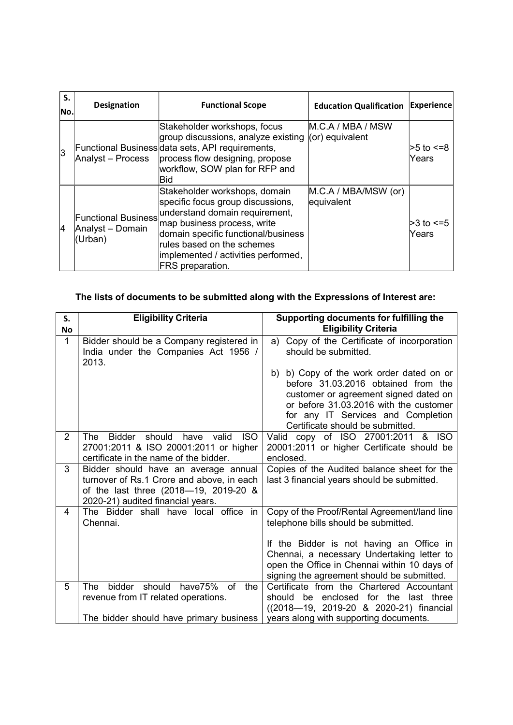| S.<br>No. | <b>Designation</b>                                        | <b>Functional Scope</b>                                                                                                                                                                                                                                                    | <b>Education Qualification</b>       | <b>Experience</b>         |
|-----------|-----------------------------------------------------------|----------------------------------------------------------------------------------------------------------------------------------------------------------------------------------------------------------------------------------------------------------------------------|--------------------------------------|---------------------------|
| 3         | Analyst - Process                                         | Stakeholder workshops, focus<br>group discussions, analyze existing<br>Functional Business data sets, API requirements,<br>process flow designing, propose<br>workflow, SOW plan for RFP and<br>Bid                                                                        | M.C.A / MBA / MSW<br>(or) equivalent | l>5 to <=8<br>Years       |
| 4         | <b>Functional Business</b><br>Analyst - Domain<br>(Urban) | Stakeholder workshops, domain<br>specific focus group discussions,<br>understand domain requirement,<br>map business process, write<br>domain specific functional/business<br>rules based on the schemes<br>implemented / activities performed,<br><b>FRS</b> preparation. | M.C.A / MBA/MSW (or)<br>equivalent   | $>3$ to $\leq=5$<br>Years |

# The lists of documents to be submitted along with the Expressions of Interest are:

| S.<br>No       | <b>Eligibility Criteria</b>                                                                                                                                     | Supporting documents for fulfilling the<br><b>Eligibility Criteria</b>                                                                                                                                                                       |
|----------------|-----------------------------------------------------------------------------------------------------------------------------------------------------------------|----------------------------------------------------------------------------------------------------------------------------------------------------------------------------------------------------------------------------------------------|
| $\mathbf{1}$   | Bidder should be a Company registered in<br>India under the Companies Act 1956 /<br>2013.                                                                       | Copy of the Certificate of incorporation<br>a)<br>should be submitted.                                                                                                                                                                       |
|                |                                                                                                                                                                 | b) b) Copy of the work order dated on or<br>before 31.03.2016 obtained from the<br>customer or agreement signed dated on<br>or before 31.03.2016 with the customer<br>for any IT Services and Completion<br>Certificate should be submitted. |
| $\overline{2}$ | <b>ISO</b><br>Bidder<br>should<br>have valid<br>The l<br>27001:2011 & ISO 20001:2011 or higher<br>certificate in the name of the bidder.                        | Valid copy of ISO 27001:2011<br>& ISO<br>20001:2011 or higher Certificate should be<br>enclosed.                                                                                                                                             |
| 3              | Bidder should have an average annual<br>turnover of Rs.1 Crore and above, in each<br>of the last three (2018-19, 2019-20 &<br>2020-21) audited financial years. | Copies of the Audited balance sheet for the<br>last 3 financial years should be submitted.                                                                                                                                                   |
| 4              | The Bidder shall have local office in<br>Chennai.                                                                                                               | Copy of the Proof/Rental Agreement/land line<br>telephone bills should be submitted.                                                                                                                                                         |
|                |                                                                                                                                                                 | If the Bidder is not having an Office in<br>Chennai, a necessary Undertaking letter to<br>open the Office in Chennai within 10 days of<br>signing the agreement should be submitted.                                                         |
| 5              | bidder<br>should have75% of<br>the<br>The<br>revenue from IT related operations.                                                                                | Certificate from the Chartered Accountant<br>enclosed for the last three<br>be<br>should<br>((2018-19, 2019-20 & 2020-21) financial                                                                                                          |
|                | The bidder should have primary business                                                                                                                         | years along with supporting documents.                                                                                                                                                                                                       |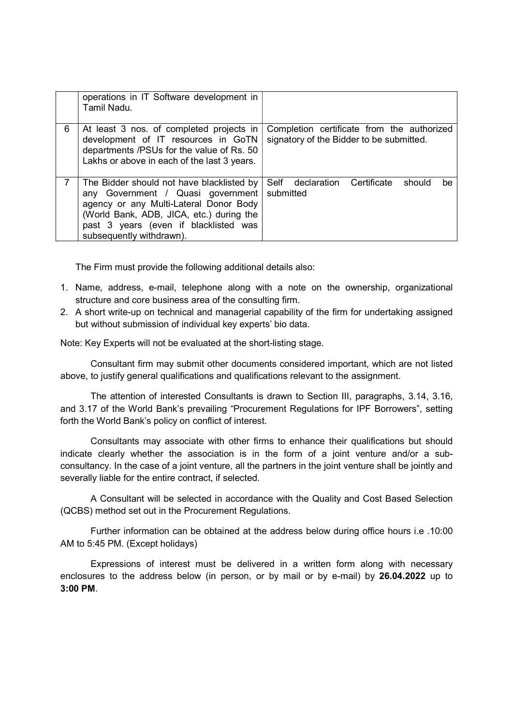|   | operations in IT Software development in<br>Tamil Nadu.                                                                                                                                                                                   |                                                                                        |
|---|-------------------------------------------------------------------------------------------------------------------------------------------------------------------------------------------------------------------------------------------|----------------------------------------------------------------------------------------|
| 6 | At least 3 nos. of completed projects in<br>development of IT resources in GoTN<br>departments /PSUs for the value of Rs. 50<br>Lakhs or above in each of the last 3 years.                                                               | Completion certificate from the authorized<br>signatory of the Bidder to be submitted. |
|   | The Bidder should not have blacklisted by<br>any Government / Quasi government<br>agency or any Multi-Lateral Donor Body<br>(World Bank, ADB, JICA, etc.) during the<br>past 3 years (even if blacklisted was<br>subsequently withdrawn). | Self declaration Certificate<br>should<br>be.<br>submitted                             |

The Firm must provide the following additional details also:

- 1. Name, address, e-mail, telephone along with a note on the ownership, organizational structure and core business area of the consulting firm.
- 2. A short write-up on technical and managerial capability of the firm for undertaking assigned but without submission of individual key experts' bio data.

Note: Key Experts will not be evaluated at the short-listing stage.

Consultant firm may submit other documents considered important, which are not listed above, to justify general qualifications and qualifications relevant to the assignment.

The attention of interested Consultants is drawn to Section III, paragraphs, 3.14, 3.16, and 3.17 of the World Bank's prevailing "Procurement Regulations for IPF Borrowers", setting forth the World Bank's policy on conflict of interest.

Consultants may associate with other firms to enhance their qualifications but should indicate clearly whether the association is in the form of a joint venture and/or a subconsultancy. In the case of a joint venture, all the partners in the joint venture shall be jointly and severally liable for the entire contract, if selected.

A Consultant will be selected in accordance with the Quality and Cost Based Selection (QCBS) method set out in the Procurement Regulations.

Further information can be obtained at the address below during office hours i.e .10:00 AM to 5:45 PM. (Except holidays)

Expressions of interest must be delivered in a written form along with necessary enclosures to the address below (in person, or by mail or by e-mail) by 26.04.2022 up to 3:00 PM.